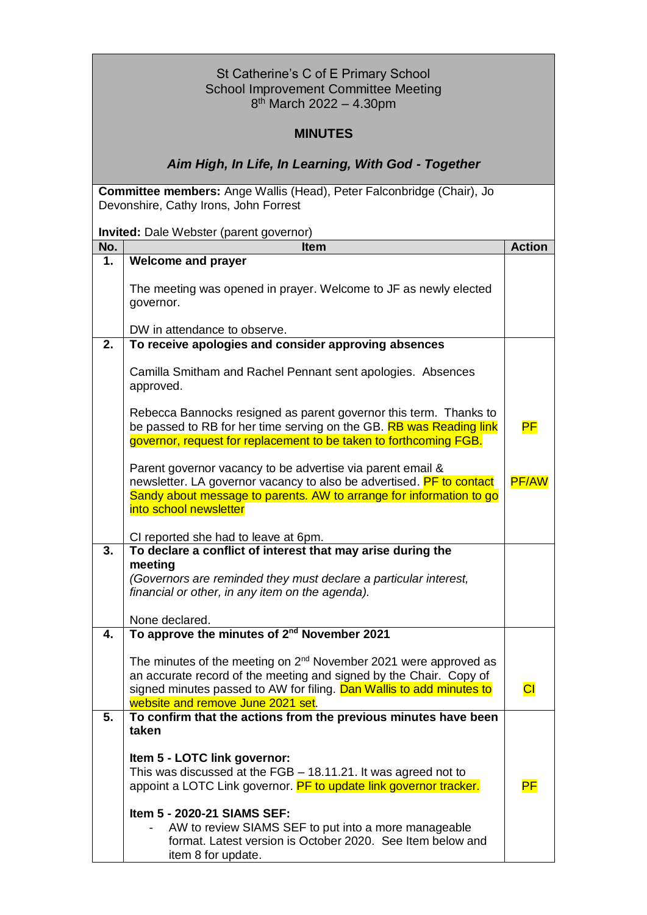| St Catherine's C of E Primary School<br><b>School Improvement Committee Meeting</b><br>8 <sup>th</sup> March 2022 - 4.30pm                                                                                                                               |                                                                                                                                                                                                                           |               |  |  |
|----------------------------------------------------------------------------------------------------------------------------------------------------------------------------------------------------------------------------------------------------------|---------------------------------------------------------------------------------------------------------------------------------------------------------------------------------------------------------------------------|---------------|--|--|
| <b>MINUTES</b>                                                                                                                                                                                                                                           |                                                                                                                                                                                                                           |               |  |  |
|                                                                                                                                                                                                                                                          | Aim High, In Life, In Learning, With God - Together                                                                                                                                                                       |               |  |  |
|                                                                                                                                                                                                                                                          | Committee members: Ange Wallis (Head), Peter Falconbridge (Chair), Jo<br>Devonshire, Cathy Irons, John Forrest                                                                                                            |               |  |  |
|                                                                                                                                                                                                                                                          | Invited: Dale Webster (parent governor)                                                                                                                                                                                   |               |  |  |
| No.                                                                                                                                                                                                                                                      | <b>Item</b>                                                                                                                                                                                                               | <b>Action</b> |  |  |
| 1.                                                                                                                                                                                                                                                       | <b>Welcome and prayer</b>                                                                                                                                                                                                 |               |  |  |
|                                                                                                                                                                                                                                                          | The meeting was opened in prayer. Welcome to JF as newly elected<br>governor.                                                                                                                                             |               |  |  |
|                                                                                                                                                                                                                                                          | DW in attendance to observe.                                                                                                                                                                                              |               |  |  |
| 2.                                                                                                                                                                                                                                                       | To receive apologies and consider approving absences                                                                                                                                                                      |               |  |  |
|                                                                                                                                                                                                                                                          | Camilla Smitham and Rachel Pennant sent apologies. Absences<br>approved.                                                                                                                                                  |               |  |  |
| Rebecca Bannocks resigned as parent governor this term. Thanks to<br>be passed to RB for her time serving on the GB. RB was Reading link<br>governor, request for replacement to be taken to forthcoming FGB.                                            |                                                                                                                                                                                                                           |               |  |  |
|                                                                                                                                                                                                                                                          | Parent governor vacancy to be advertise via parent email &<br>newsletter. LA governor vacancy to also be advertised. PF to contact<br><b>PF/AW</b><br>Sandy about message to parents. AW to arrange for information to go |               |  |  |
| into school newsletter                                                                                                                                                                                                                                   |                                                                                                                                                                                                                           |               |  |  |
|                                                                                                                                                                                                                                                          | CI reported she had to leave at 6pm.                                                                                                                                                                                      |               |  |  |
| 3.                                                                                                                                                                                                                                                       | To declare a conflict of interest that may arise during the<br>meeting<br>(Governors are reminded they must declare a particular interest,<br>financial or other, in any item on the agenda).                             |               |  |  |
|                                                                                                                                                                                                                                                          | None declared.                                                                                                                                                                                                            |               |  |  |
| 4.                                                                                                                                                                                                                                                       | To approve the minutes of 2 <sup>nd</sup> November 2021                                                                                                                                                                   |               |  |  |
| The minutes of the meeting on $2^{nd}$ November 2021 were approved as<br>an accurate record of the meeting and signed by the Chair. Copy of<br>signed minutes passed to AW for filing. Dan Wallis to add minutes to<br>website and remove June 2021 set. |                                                                                                                                                                                                                           | СI            |  |  |
| To confirm that the actions from the previous minutes have been<br>5.                                                                                                                                                                                    |                                                                                                                                                                                                                           |               |  |  |
| taken                                                                                                                                                                                                                                                    |                                                                                                                                                                                                                           |               |  |  |
|                                                                                                                                                                                                                                                          | Item 5 - LOTC link governor:<br>This was discussed at the FGB - 18.11.21. It was agreed not to<br>appoint a LOTC Link governor. PF to update link governor tracker.                                                       | <b>PF</b>     |  |  |
|                                                                                                                                                                                                                                                          | Item 5 - 2020-21 SIAMS SEF:<br>AW to review SIAMS SEF to put into a more manageable<br>format. Latest version is October 2020. See Item below and<br>item 8 for update.                                                   |               |  |  |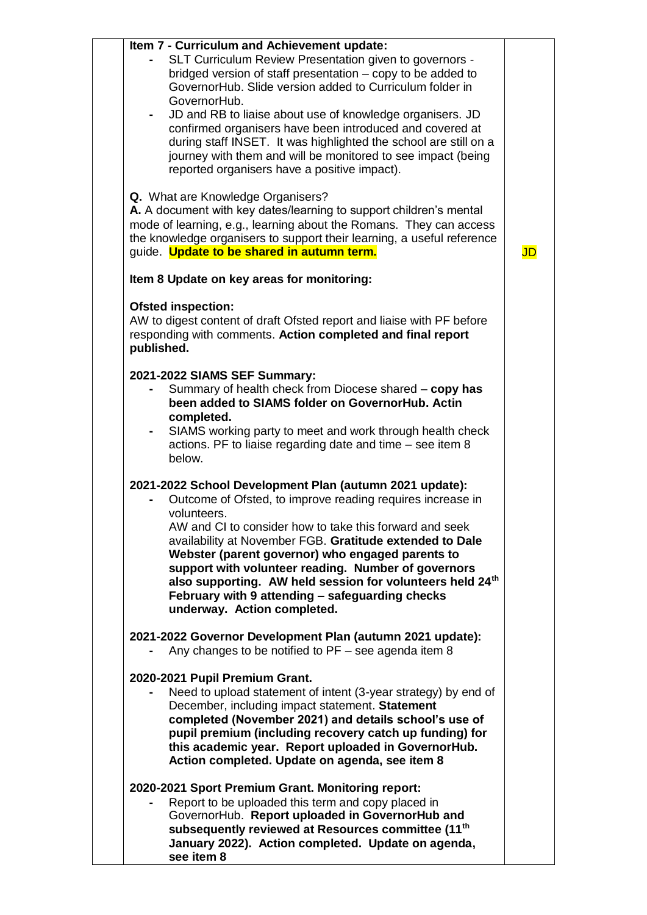| Item 7 - Curriculum and Achievement update:                                                                                                                                                                                                                                                                                                                                               |                        |
|-------------------------------------------------------------------------------------------------------------------------------------------------------------------------------------------------------------------------------------------------------------------------------------------------------------------------------------------------------------------------------------------|------------------------|
| SLT Curriculum Review Presentation given to governors -<br>bridged version of staff presentation – copy to be added to<br>GovernorHub. Slide version added to Curriculum folder in                                                                                                                                                                                                        |                        |
| GovernorHub.<br>JD and RB to liaise about use of knowledge organisers. JD<br>confirmed organisers have been introduced and covered at<br>during staff INSET. It was highlighted the school are still on a<br>journey with them and will be monitored to see impact (being<br>reported organisers have a positive impact).                                                                 |                        |
| Q. What are Knowledge Organisers?<br>A. A document with key dates/learning to support children's mental<br>mode of learning, e.g., learning about the Romans. They can access<br>the knowledge organisers to support their learning, a useful reference<br>guide. Update to be shared in autumn term.                                                                                     | $\mathsf{J}\mathsf{D}$ |
| Item 8 Update on key areas for monitoring:                                                                                                                                                                                                                                                                                                                                                |                        |
| <b>Ofsted inspection:</b><br>AW to digest content of draft Ofsted report and liaise with PF before<br>responding with comments. Action completed and final report<br>published.                                                                                                                                                                                                           |                        |
| 2021-2022 SIAMS SEF Summary:<br>Summary of health check from Diocese shared - copy has<br>been added to SIAMS folder on GovernorHub. Actin<br>completed.<br>SIAMS working party to meet and work through health check                                                                                                                                                                     |                        |
| actions. PF to liaise regarding date and time - see item 8<br>below.                                                                                                                                                                                                                                                                                                                      |                        |
| 2021-2022 School Development Plan (autumn 2021 update):<br>Outcome of Ofsted, to improve reading requires increase in<br>volunteers.                                                                                                                                                                                                                                                      |                        |
| AW and CI to consider how to take this forward and seek<br>availability at November FGB. Gratitude extended to Dale<br>Webster (parent governor) who engaged parents to<br>support with volunteer reading. Number of governors<br>also supporting. AW held session for volunteers held 24 <sup>th</sup><br>February with 9 attending - safeguarding checks<br>underway. Action completed. |                        |
| 2021-2022 Governor Development Plan (autumn 2021 update):<br>Any changes to be notified to $PF$ – see agenda item 8                                                                                                                                                                                                                                                                       |                        |
| 2020-2021 Pupil Premium Grant.<br>Need to upload statement of intent (3-year strategy) by end of<br>December, including impact statement. Statement<br>completed (November 2021) and details school's use of<br>pupil premium (including recovery catch up funding) for<br>this academic year. Report uploaded in GovernorHub.<br>Action completed. Update on agenda, see item 8          |                        |
| 2020-2021 Sport Premium Grant. Monitoring report:<br>Report to be uploaded this term and copy placed in<br>GovernorHub. Report uploaded in GovernorHub and<br>subsequently reviewed at Resources committee (11 <sup>th</sup><br>January 2022). Action completed. Update on agenda,<br>see item 8                                                                                          |                        |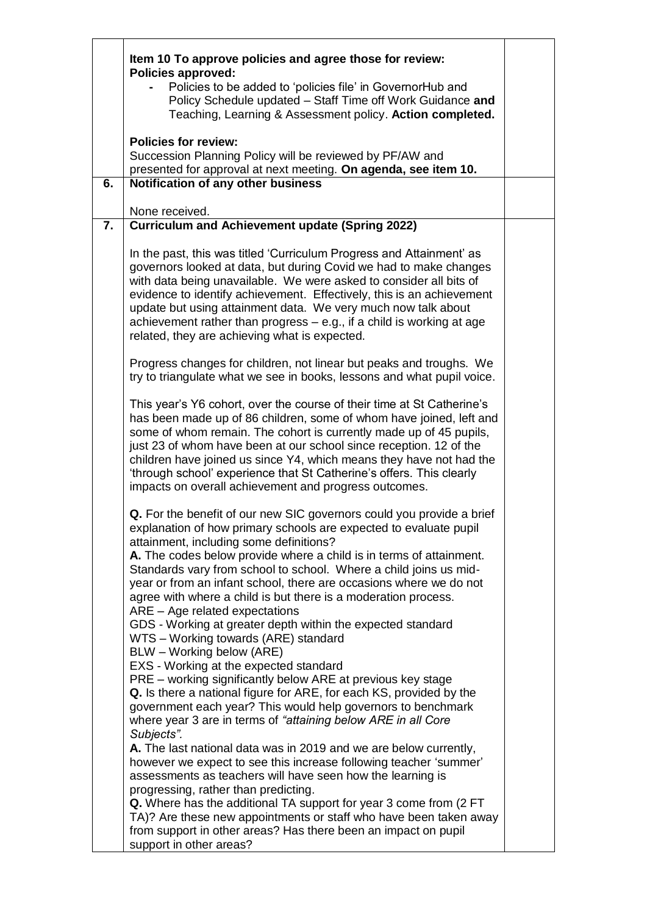| Item 10 To approve policies and agree those for review:<br><b>Policies approved:</b><br>Policies to be added to 'policies file' in GovernorHub and<br>Policy Schedule updated - Staff Time off Work Guidance and<br>Teaching, Learning & Assessment policy. Action completed.                                                                                                                                                                                                                                                                                                                                                                                                                                         |                                                                                                                                                                       |  |  |
|-----------------------------------------------------------------------------------------------------------------------------------------------------------------------------------------------------------------------------------------------------------------------------------------------------------------------------------------------------------------------------------------------------------------------------------------------------------------------------------------------------------------------------------------------------------------------------------------------------------------------------------------------------------------------------------------------------------------------|-----------------------------------------------------------------------------------------------------------------------------------------------------------------------|--|--|
| <b>Policies for review:</b><br>Succession Planning Policy will be reviewed by PF/AW and<br>presented for approval at next meeting. On agenda, see item 10.                                                                                                                                                                                                                                                                                                                                                                                                                                                                                                                                                            |                                                                                                                                                                       |  |  |
| Notification of any other business<br>6.                                                                                                                                                                                                                                                                                                                                                                                                                                                                                                                                                                                                                                                                              |                                                                                                                                                                       |  |  |
| $\overline{7}$ .                                                                                                                                                                                                                                                                                                                                                                                                                                                                                                                                                                                                                                                                                                      |                                                                                                                                                                       |  |  |
| In the past, this was titled 'Curriculum Progress and Attainment' as<br>governors looked at data, but during Covid we had to make changes<br>with data being unavailable. We were asked to consider all bits of<br>evidence to identify achievement. Effectively, this is an achievement<br>update but using attainment data. We very much now talk about<br>achievement rather than progress $-$ e.g., if a child is working at age<br>related, they are achieving what is expected.                                                                                                                                                                                                                                 |                                                                                                                                                                       |  |  |
| Progress changes for children, not linear but peaks and troughs. We<br>try to triangulate what we see in books, lessons and what pupil voice.                                                                                                                                                                                                                                                                                                                                                                                                                                                                                                                                                                         |                                                                                                                                                                       |  |  |
| This year's Y6 cohort, over the course of their time at St Catherine's<br>has been made up of 86 children, some of whom have joined, left and<br>some of whom remain. The cohort is currently made up of 45 pupils,<br>just 23 of whom have been at our school since reception. 12 of the<br>children have joined us since Y4, which means they have not had the<br>'through school' experience that St Catherine's offers. This clearly<br>impacts on overall achievement and progress outcomes.                                                                                                                                                                                                                     |                                                                                                                                                                       |  |  |
| Q. For the benefit of our new SIC governors could you provide a brief<br>explanation of how primary schools are expected to evaluate pupil<br>attainment, including some definitions?<br>A. The codes below provide where a child is in terms of attainment.<br>Standards vary from school to school. Where a child joins us mid-<br>year or from an infant school, there are occasions where we do not<br>agree with where a child is but there is a moderation process.<br>ARE - Age related expectations<br>GDS - Working at greater depth within the expected standard<br>WTS - Working towards (ARE) standard<br>BLW - Working below (ARE)                                                                       |                                                                                                                                                                       |  |  |
| EXS - Working at the expected standard<br>PRE – working significantly below ARE at previous key stage<br>Q. Is there a national figure for ARE, for each KS, provided by the<br>government each year? This would help governors to benchmark<br>where year 3 are in terms of "attaining below ARE in all Core<br>Subjects".<br>A. The last national data was in 2019 and we are below currently,<br>however we expect to see this increase following teacher 'summer'<br>assessments as teachers will have seen how the learning is<br>progressing, rather than predicting.<br>Q. Where has the additional TA support for year 3 come from (2 FT<br>TA)? Are these new appointments or staff who have been taken away |                                                                                                                                                                       |  |  |
|                                                                                                                                                                                                                                                                                                                                                                                                                                                                                                                                                                                                                                                                                                                       | None received.<br><b>Curriculum and Achievement update (Spring 2022)</b><br>from support in other areas? Has there been an impact on pupil<br>support in other areas? |  |  |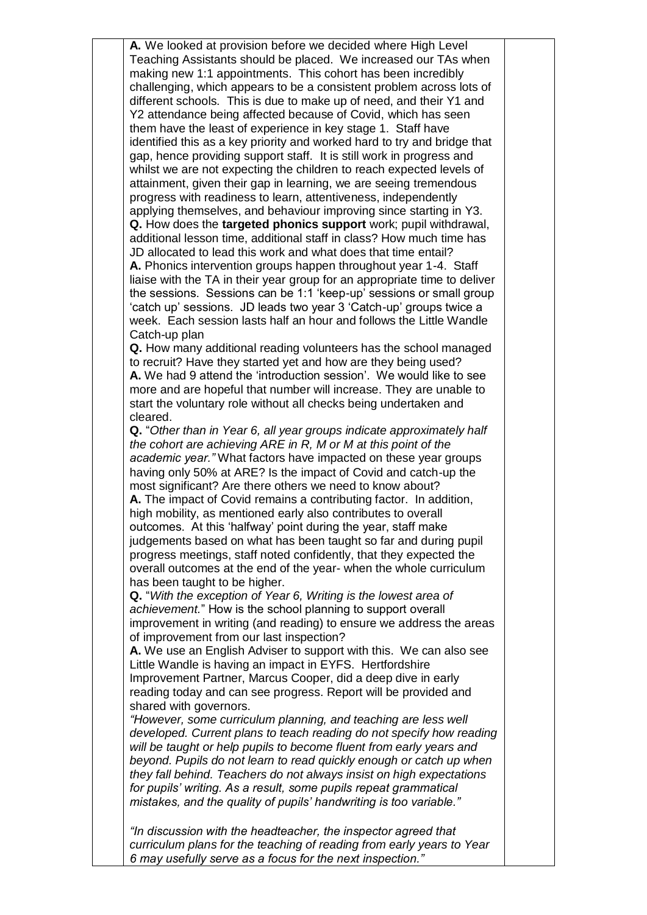**A.** We looked at provision before we decided where High Level Teaching Assistants should be placed. We increased our TAs when making new 1:1 appointments. This cohort has been incredibly challenging, which appears to be a consistent problem across lots of different schools. This is due to make up of need, and their Y1 and Y2 attendance being affected because of Covid, which has seen them have the least of experience in key stage 1. Staff have identified this as a key priority and worked hard to try and bridge that gap, hence providing support staff. It is still work in progress and whilst we are not expecting the children to reach expected levels of attainment, given their gap in learning, we are seeing tremendous progress with readiness to learn, attentiveness, independently applying themselves, and behaviour improving since starting in Y3. **Q.** How does the **targeted phonics support** work; pupil withdrawal, additional lesson time, additional staff in class? How much time has JD allocated to lead this work and what does that time entail? **A.** Phonics intervention groups happen throughout year 1-4. Staff liaise with the TA in their year group for an appropriate time to deliver the sessions. Sessions can be 1:1 'keep-up' sessions or small group 'catch up' sessions. JD leads two year 3 'Catch-up' groups twice a week. Each session lasts half an hour and follows the Little Wandle Catch-up plan **Q.** How many additional reading volunteers has the school managed to recruit? Have they started yet and how are they being used? **A.** We had 9 attend the 'introduction session'. We would like to see more and are hopeful that number will increase. They are unable to

start the voluntary role without all checks being undertaken and cleared. **Q.** "*Other than in Year 6, all year groups indicate approximately half the cohort are achieving ARE in R, M or M at this point of the academic year."* What factors have impacted on these year groups

having only 50% at ARE? Is the impact of Covid and catch-up the most significant? Are there others we need to know about? **A.** The impact of Covid remains a contributing factor. In addition, high mobility, as mentioned early also contributes to overall outcomes. At this 'halfway' point during the year, staff make judgements based on what has been taught so far and during pupil progress meetings, staff noted confidently, that they expected the overall outcomes at the end of the year- when the whole curriculum has been taught to be higher.

**Q.** "*With the exception of Year 6, Writing is the lowest area of achievement.*" How is the school planning to support overall improvement in writing (and reading) to ensure we address the areas of improvement from our last inspection?

**A.** We use an English Adviser to support with this. We can also see Little Wandle is having an impact in EYFS. Hertfordshire Improvement Partner, Marcus Cooper, did a deep dive in early reading today and can see progress. Report will be provided and shared with governors.

*"However, some curriculum planning, and teaching are less well developed. Current plans to teach reading do not specify how reading will be taught or help pupils to become fluent from early years and beyond. Pupils do not learn to read quickly enough or catch up when they fall behind. Teachers do not always insist on high expectations for pupils' writing. As a result, some pupils repeat grammatical mistakes, and the quality of pupils' handwriting is too variable."*

*"In discussion with the headteacher, the inspector agreed that curriculum plans for the teaching of reading from early years to Year 6 may usefully serve as a focus for the next inspection."*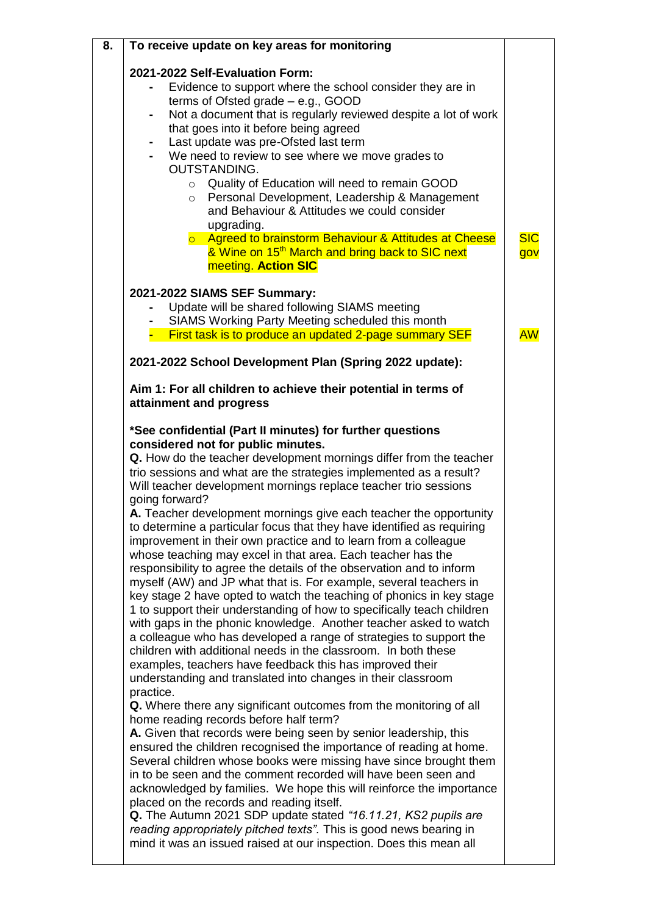| 8. | To receive update on key areas for monitoring                                                                                                                                                                                                                                                                                                                                                                                                                                                                                                                                                                                                                                                                                                                                                                                                                                                                                                                                                                                                                                                                                                                                                                                                                                                                                                                                                                                                                                                                                                                                                                                                                                                                                                                                                                                                                                                                                                                                                                     |            |
|----|-------------------------------------------------------------------------------------------------------------------------------------------------------------------------------------------------------------------------------------------------------------------------------------------------------------------------------------------------------------------------------------------------------------------------------------------------------------------------------------------------------------------------------------------------------------------------------------------------------------------------------------------------------------------------------------------------------------------------------------------------------------------------------------------------------------------------------------------------------------------------------------------------------------------------------------------------------------------------------------------------------------------------------------------------------------------------------------------------------------------------------------------------------------------------------------------------------------------------------------------------------------------------------------------------------------------------------------------------------------------------------------------------------------------------------------------------------------------------------------------------------------------------------------------------------------------------------------------------------------------------------------------------------------------------------------------------------------------------------------------------------------------------------------------------------------------------------------------------------------------------------------------------------------------------------------------------------------------------------------------------------------------|------------|
|    | 2021-2022 Self-Evaluation Form:<br>Evidence to support where the school consider they are in<br>terms of Ofsted grade $-$ e.g., GOOD<br>Not a document that is regularly reviewed despite a lot of work<br>that goes into it before being agreed<br>Last update was pre-Ofsted last term<br>We need to review to see where we move grades to<br>OUTSTANDING.<br>o Quality of Education will need to remain GOOD<br>Personal Development, Leadership & Management<br>$\circ$<br>and Behaviour & Attitudes we could consider<br>upgrading.<br>o Agreed to brainstorm Behaviour & Attitudes at Cheese                                                                                                                                                                                                                                                                                                                                                                                                                                                                                                                                                                                                                                                                                                                                                                                                                                                                                                                                                                                                                                                                                                                                                                                                                                                                                                                                                                                                                | <b>SIC</b> |
|    | & Wine on 15 <sup>th</sup> March and bring back to SIC next<br>meeting. Action SIC                                                                                                                                                                                                                                                                                                                                                                                                                                                                                                                                                                                                                                                                                                                                                                                                                                                                                                                                                                                                                                                                                                                                                                                                                                                                                                                                                                                                                                                                                                                                                                                                                                                                                                                                                                                                                                                                                                                                | gov        |
|    | 2021-2022 SIAMS SEF Summary:<br>Update will be shared following SIAMS meeting<br>SIAMS Working Party Meeting scheduled this month<br>- First task is to produce an updated 2-page summary SEF<br>2021-2022 School Development Plan (Spring 2022 update):                                                                                                                                                                                                                                                                                                                                                                                                                                                                                                                                                                                                                                                                                                                                                                                                                                                                                                                                                                                                                                                                                                                                                                                                                                                                                                                                                                                                                                                                                                                                                                                                                                                                                                                                                          | <b>AW</b>  |
|    |                                                                                                                                                                                                                                                                                                                                                                                                                                                                                                                                                                                                                                                                                                                                                                                                                                                                                                                                                                                                                                                                                                                                                                                                                                                                                                                                                                                                                                                                                                                                                                                                                                                                                                                                                                                                                                                                                                                                                                                                                   |            |
|    | Aim 1: For all children to achieve their potential in terms of<br>attainment and progress                                                                                                                                                                                                                                                                                                                                                                                                                                                                                                                                                                                                                                                                                                                                                                                                                                                                                                                                                                                                                                                                                                                                                                                                                                                                                                                                                                                                                                                                                                                                                                                                                                                                                                                                                                                                                                                                                                                         |            |
|    | *See confidential (Part II minutes) for further questions<br>considered not for public minutes.<br>Q. How do the teacher development mornings differ from the teacher<br>trio sessions and what are the strategies implemented as a result?<br>Will teacher development mornings replace teacher trio sessions<br>going forward?<br>A. Teacher development mornings give each teacher the opportunity<br>to determine a particular focus that they have identified as requiring<br>improvement in their own practice and to learn from a colleague<br>whose teaching may excel in that area. Each teacher has the<br>responsibility to agree the details of the observation and to inform<br>myself (AW) and JP what that is. For example, several teachers in<br>key stage 2 have opted to watch the teaching of phonics in key stage<br>1 to support their understanding of how to specifically teach children<br>with gaps in the phonic knowledge. Another teacher asked to watch<br>a colleague who has developed a range of strategies to support the<br>children with additional needs in the classroom. In both these<br>examples, teachers have feedback this has improved their<br>understanding and translated into changes in their classroom<br>practice.<br>Q. Where there any significant outcomes from the monitoring of all<br>home reading records before half term?<br>A. Given that records were being seen by senior leadership, this<br>ensured the children recognised the importance of reading at home.<br>Several children whose books were missing have since brought them<br>in to be seen and the comment recorded will have been seen and<br>acknowledged by families. We hope this will reinforce the importance<br>placed on the records and reading itself.<br><b>Q.</b> The Autumn 2021 SDP update stated "16.11.21, KS2 pupils are<br>reading appropriately pitched texts". This is good news bearing in<br>mind it was an issued raised at our inspection. Does this mean all |            |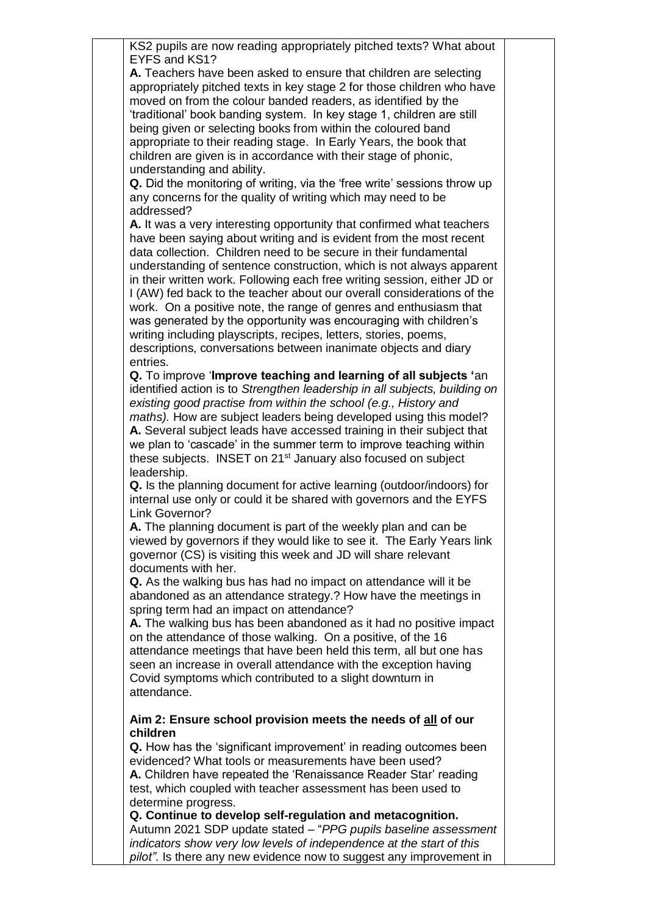| KS2 pupils are now reading appropriately pitched texts? What about<br>EYFS and KS1?                                                         |  |
|---------------------------------------------------------------------------------------------------------------------------------------------|--|
|                                                                                                                                             |  |
| A. Teachers have been asked to ensure that children are selecting                                                                           |  |
| appropriately pitched texts in key stage 2 for those children who have                                                                      |  |
| moved on from the colour banded readers, as identified by the                                                                               |  |
| 'traditional' book banding system. In key stage 1, children are still                                                                       |  |
| being given or selecting books from within the coloured band                                                                                |  |
| appropriate to their reading stage. In Early Years, the book that                                                                           |  |
| children are given is in accordance with their stage of phonic,                                                                             |  |
| understanding and ability.                                                                                                                  |  |
| <b>Q.</b> Did the monitoring of writing, via the 'free write' sessions throw up                                                             |  |
| any concerns for the quality of writing which may need to be                                                                                |  |
| addressed?                                                                                                                                  |  |
| A. It was a very interesting opportunity that confirmed what teachers                                                                       |  |
| have been saying about writing and is evident from the most recent                                                                          |  |
| data collection. Children need to be secure in their fundamental                                                                            |  |
| understanding of sentence construction, which is not always apparent                                                                        |  |
| in their written work. Following each free writing session, either JD or                                                                    |  |
| I (AW) fed back to the teacher about our overall considerations of the                                                                      |  |
| work. On a positive note, the range of genres and enthusiasm that                                                                           |  |
| was generated by the opportunity was encouraging with children's                                                                            |  |
| writing including playscripts, recipes, letters, stories, poems,                                                                            |  |
| descriptions, conversations between inanimate objects and diary                                                                             |  |
| entries.                                                                                                                                    |  |
| Q. To improve 'Improve teaching and learning of all subjects 'an                                                                            |  |
| identified action is to Strengthen leadership in all subjects, building on                                                                  |  |
| existing good practise from within the school (e.g., History and                                                                            |  |
| maths). How are subject leaders being developed using this model?                                                                           |  |
| A. Several subject leads have accessed training in their subject that<br>we plan to 'cascade' in the summer term to improve teaching within |  |
| these subjects. INSET on 21 <sup>st</sup> January also focused on subject                                                                   |  |
| leadership.                                                                                                                                 |  |
| Q. Is the planning document for active learning (outdoor/indoors) for                                                                       |  |
| internal use only or could it be shared with governors and the EYFS                                                                         |  |
| Link Governor?                                                                                                                              |  |
| A. The planning document is part of the weekly plan and can be                                                                              |  |
| viewed by governors if they would like to see it. The Early Years link                                                                      |  |
| governor (CS) is visiting this week and JD will share relevant                                                                              |  |
| documents with her.                                                                                                                         |  |
| Q. As the walking bus has had no impact on attendance will it be                                                                            |  |
| abandoned as an attendance strategy.? How have the meetings in                                                                              |  |
| spring term had an impact on attendance?                                                                                                    |  |
| A. The walking bus has been abandoned as it had no positive impact                                                                          |  |
| on the attendance of those walking. On a positive, of the 16                                                                                |  |
| attendance meetings that have been held this term, all but one has                                                                          |  |
| seen an increase in overall attendance with the exception having                                                                            |  |
| Covid symptoms which contributed to a slight downturn in                                                                                    |  |
| attendance.                                                                                                                                 |  |
|                                                                                                                                             |  |
| Aim 2: Ensure school provision meets the needs of all of our                                                                                |  |
| children                                                                                                                                    |  |
| Q. How has the 'significant improvement' in reading outcomes been                                                                           |  |
| evidenced? What tools or measurements have been used?                                                                                       |  |
| A. Children have repeated the 'Renaissance Reader Star' reading                                                                             |  |
| test, which coupled with teacher assessment has been used to                                                                                |  |
| determine progress.                                                                                                                         |  |
| Q. Continue to develop self-regulation and metacognition.                                                                                   |  |
| Autumn 2021 SDP update stated - "PPG pupils baseline assessment                                                                             |  |
| indicators show very low levels of independence at the start of this                                                                        |  |

*pilot".* Is there any new evidence now to suggest any improvement in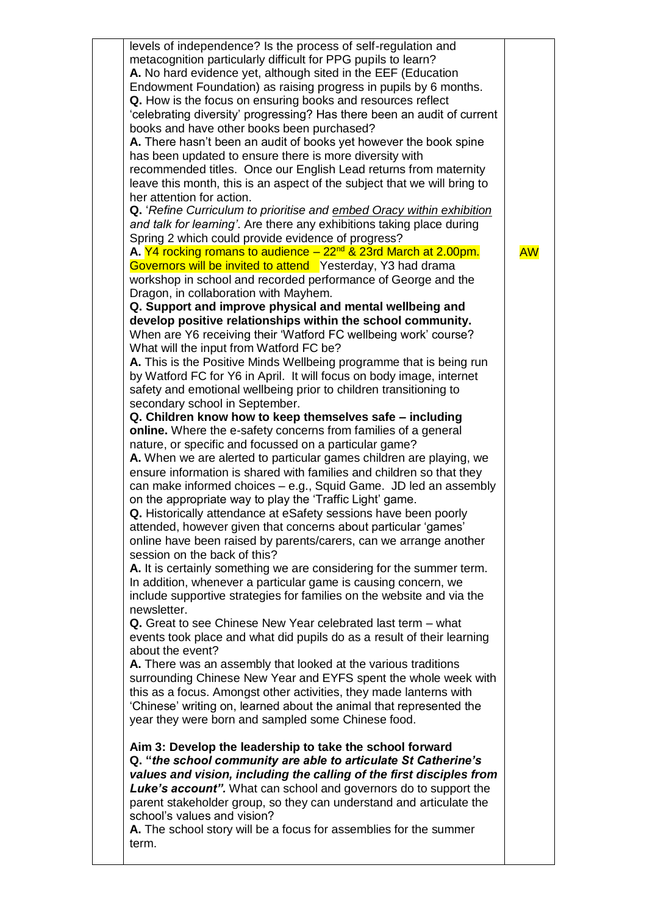| levels of independence? Is the process of self-regulation and<br>metacognition particularly difficult for PPG pupils to learn?<br>A. No hard evidence yet, although sited in the EEF (Education<br>Endowment Foundation) as raising progress in pupils by 6 months.<br>Q. How is the focus on ensuring books and resources reflect<br>'celebrating diversity' progressing? Has there been an audit of current<br>books and have other books been purchased?<br>A. There hasn't been an audit of books yet however the book spine<br>has been updated to ensure there is more diversity with<br>recommended titles. Once our English Lead returns from maternity<br>leave this month, this is an aspect of the subject that we will bring to<br>her attention for action.<br>Q. 'Refine Curriculum to prioritise and embed Oracy within exhibition<br>and talk for learning'. Are there any exhibitions taking place during<br>Spring 2 which could provide evidence of progress?<br>A. Y4 rocking romans to audience - 22 <sup>nd</sup> & 23rd March at 2.00pm.<br>Governors will be invited to attend Yesterday, Y3 had drama<br>workshop in school and recorded performance of George and the<br>Dragon, in collaboration with Mayhem.<br>Q. Support and improve physical and mental wellbeing and<br>develop positive relationships within the school community.<br>When are Y6 receiving their 'Watford FC wellbeing work' course?<br>What will the input from Watford FC be?<br>A. This is the Positive Minds Wellbeing programme that is being run<br>by Watford FC for Y6 in April. It will focus on body image, internet<br>safety and emotional wellbeing prior to children transitioning to<br>secondary school in September.<br>Q. Children know how to keep themselves safe - including<br>online. Where the e-safety concerns from families of a general<br>nature, or specific and focussed on a particular game?<br>A. When we are alerted to particular games children are playing, we<br>ensure information is shared with families and children so that they<br>can make informed choices - e.g., Squid Game. JD led an assembly<br>on the appropriate way to play the 'Traffic Light' game.<br>Q. Historically attendance at eSafety sessions have been poorly<br>attended, however given that concerns about particular 'games'<br>online have been raised by parents/carers, can we arrange another<br>session on the back of this?<br>A. It is certainly something we are considering for the summer term.<br>In addition, whenever a particular game is causing concern, we<br>include supportive strategies for families on the website and via the<br>newsletter.<br>Q. Great to see Chinese New Year celebrated last term – what<br>events took place and what did pupils do as a result of their learning<br>about the event?<br>A. There was an assembly that looked at the various traditions<br>surrounding Chinese New Year and EYFS spent the whole week with<br>this as a focus. Amongst other activities, they made lanterns with<br>'Chinese' writing on, learned about the animal that represented the<br>year they were born and sampled some Chinese food.<br>Aim 3: Develop the leadership to take the school forward | <b>AW</b> |
|--------------------------------------------------------------------------------------------------------------------------------------------------------------------------------------------------------------------------------------------------------------------------------------------------------------------------------------------------------------------------------------------------------------------------------------------------------------------------------------------------------------------------------------------------------------------------------------------------------------------------------------------------------------------------------------------------------------------------------------------------------------------------------------------------------------------------------------------------------------------------------------------------------------------------------------------------------------------------------------------------------------------------------------------------------------------------------------------------------------------------------------------------------------------------------------------------------------------------------------------------------------------------------------------------------------------------------------------------------------------------------------------------------------------------------------------------------------------------------------------------------------------------------------------------------------------------------------------------------------------------------------------------------------------------------------------------------------------------------------------------------------------------------------------------------------------------------------------------------------------------------------------------------------------------------------------------------------------------------------------------------------------------------------------------------------------------------------------------------------------------------------------------------------------------------------------------------------------------------------------------------------------------------------------------------------------------------------------------------------------------------------------------------------------------------------------------------------------------------------------------------------------------------------------------------------------------------------------------------------------------------------------------------------------------------------------------------------------------------------------------------------------------------------------------------------------------------------------------------------------------------------------------------------------------------------------------------------------------------------------------------------------------------------------------------------------------------------------------------------------------------------------------------------------------------------------------------------------------------------------------------------|-----------|
| Q. "the school community are able to articulate St Catherine's<br>values and vision, including the calling of the first disciples from<br><b>Luke's account".</b> What can school and governors do to support the<br>parent stakeholder group, so they can understand and articulate the<br>school's values and vision?<br>A. The school story will be a focus for assemblies for the summer<br>term.                                                                                                                                                                                                                                                                                                                                                                                                                                                                                                                                                                                                                                                                                                                                                                                                                                                                                                                                                                                                                                                                                                                                                                                                                                                                                                                                                                                                                                                                                                                                                                                                                                                                                                                                                                                                                                                                                                                                                                                                                                                                                                                                                                                                                                                                                                                                                                                                                                                                                                                                                                                                                                                                                                                                                                                                                                                        |           |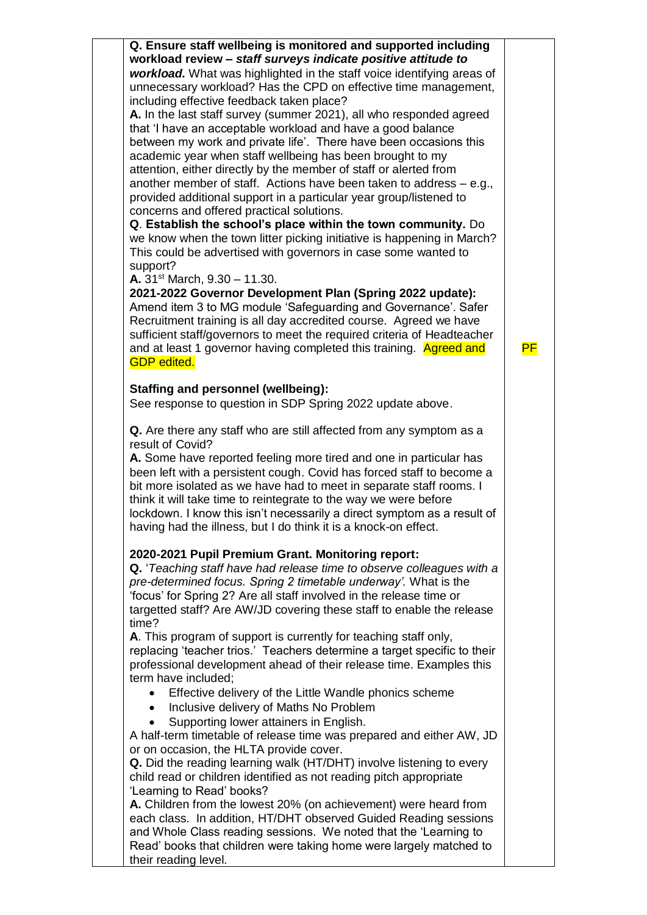| Q. Ensure staff wellbeing is monitored and supported including                                             |    |
|------------------------------------------------------------------------------------------------------------|----|
| workload review - staff surveys indicate positive attitude to                                              |    |
| workload. What was highlighted in the staff voice identifying areas of                                     |    |
| unnecessary workload? Has the CPD on effective time management,                                            |    |
| including effective feedback taken place?                                                                  |    |
| A. In the last staff survey (summer 2021), all who responded agreed                                        |    |
| that 'I have an acceptable workload and have a good balance                                                |    |
| between my work and private life'. There have been occasions this                                          |    |
| academic year when staff wellbeing has been brought to my                                                  |    |
| attention, either directly by the member of staff or alerted from                                          |    |
| another member of staff. Actions have been taken to address - e.g.,                                        |    |
| provided additional support in a particular year group/listened to                                         |    |
| concerns and offered practical solutions.<br>Q. Establish the school's place within the town community. Do |    |
| we know when the town litter picking initiative is happening in March?                                     |    |
| This could be advertised with governors in case some wanted to                                             |    |
| support?                                                                                                   |    |
| A. 31 <sup>st</sup> March, $9.30 - 11.30$ .                                                                |    |
| 2021-2022 Governor Development Plan (Spring 2022 update):                                                  |    |
| Amend item 3 to MG module 'Safeguarding and Governance'. Safer                                             |    |
| Recruitment training is all day accredited course. Agreed we have                                          |    |
| sufficient staff/governors to meet the required criteria of Headteacher                                    |    |
| and at least 1 governor having completed this training. Agreed and                                         | PF |
| <b>GDP</b> edited.                                                                                         |    |
|                                                                                                            |    |
| <b>Staffing and personnel (wellbeing):</b>                                                                 |    |
| See response to question in SDP Spring 2022 update above.                                                  |    |
| Q. Are there any staff who are still affected from any symptom as a                                        |    |
| result of Covid?                                                                                           |    |
| A. Some have reported feeling more tired and one in particular has                                         |    |
| been left with a persistent cough. Covid has forced staff to become a                                      |    |
| bit more isolated as we have had to meet in separate staff rooms. I                                        |    |
| think it will take time to reintegrate to the way we were before                                           |    |
| lockdown. I know this isn't necessarily a direct symptom as a result of                                    |    |
| having had the illness, but I do think it is a knock-on effect.                                            |    |
|                                                                                                            |    |
| 2020-2021 Pupil Premium Grant. Monitoring report:                                                          |    |
| Q. 'Teaching staff have had release time to observe colleagues with a                                      |    |
| pre-determined focus. Spring 2 timetable underway'. What is the                                            |    |
| 'focus' for Spring 2? Are all staff involved in the release time or                                        |    |
| targetted staff? Are AW/JD covering these staff to enable the release                                      |    |
| time?                                                                                                      |    |
| A. This program of support is currently for teaching staff only,                                           |    |
| replacing 'teacher trios.' Teachers determine a target specific to their                                   |    |
| professional development ahead of their release time. Examples this                                        |    |
| term have included;                                                                                        |    |
| Effective delivery of the Little Wandle phonics scheme                                                     |    |
| Inclusive delivery of Maths No Problem<br>$\bullet$                                                        |    |
| Supporting lower attainers in English.                                                                     |    |
| A half-term timetable of release time was prepared and either AW, JD                                       |    |
| or on occasion, the HLTA provide cover.                                                                    |    |
| Q. Did the reading learning walk (HT/DHT) involve listening to every                                       |    |
| child read or children identified as not reading pitch appropriate                                         |    |
| 'Learning to Read' books?                                                                                  |    |
| A. Children from the lowest 20% (on achievement) were heard from                                           |    |
| each class. In addition, HT/DHT observed Guided Reading sessions                                           |    |
| and Whole Class reading sessions. We noted that the 'Learning to                                           |    |
| Read' books that children were taking home were largely matched to                                         |    |
| their reading level.                                                                                       |    |
|                                                                                                            |    |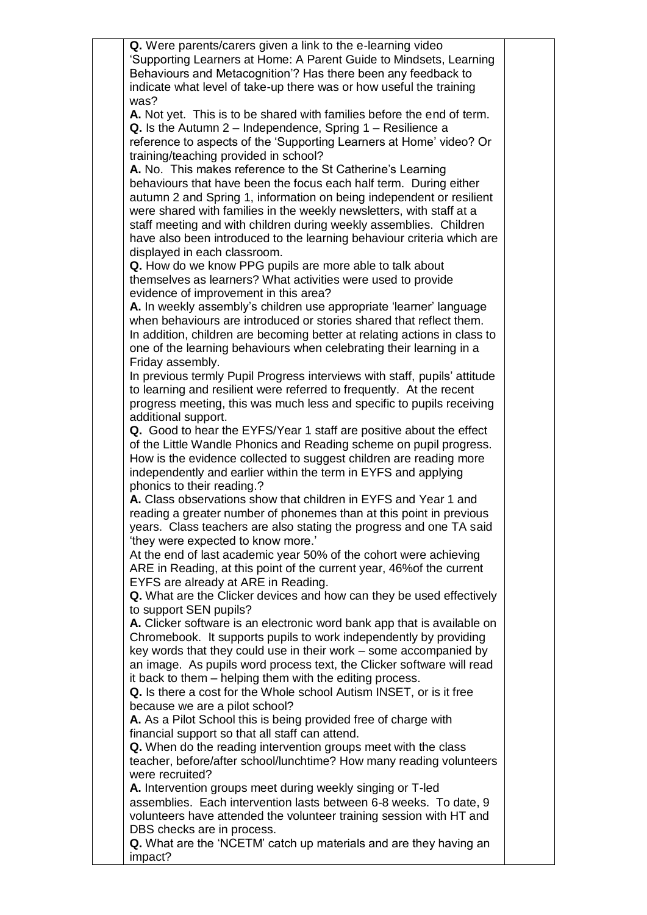|  | Q. Were parents/carers given a link to the e-learning video               |  |
|--|---------------------------------------------------------------------------|--|
|  | 'Supporting Learners at Home: A Parent Guide to Mindsets, Learning        |  |
|  | Behaviours and Metacognition'? Has there been any feedback to             |  |
|  |                                                                           |  |
|  | indicate what level of take-up there was or how useful the training       |  |
|  | was?                                                                      |  |
|  | A. Not yet. This is to be shared with families before the end of term.    |  |
|  | <b>Q.</b> Is the Autumn $2 -$ Independence, Spring $1 -$ Resilience a     |  |
|  |                                                                           |  |
|  | reference to aspects of the 'Supporting Learners at Home' video? Or       |  |
|  | training/teaching provided in school?                                     |  |
|  | A. No. This makes reference to the St Catherine's Learning                |  |
|  | behaviours that have been the focus each half term. During either         |  |
|  |                                                                           |  |
|  | autumn 2 and Spring 1, information on being independent or resilient      |  |
|  | were shared with families in the weekly newsletters, with staff at a      |  |
|  | staff meeting and with children during weekly assemblies. Children        |  |
|  | have also been introduced to the learning behaviour criteria which are    |  |
|  |                                                                           |  |
|  | displayed in each classroom.                                              |  |
|  | Q. How do we know PPG pupils are more able to talk about                  |  |
|  | themselves as learners? What activities were used to provide              |  |
|  | evidence of improvement in this area?                                     |  |
|  |                                                                           |  |
|  | A. In weekly assembly's children use appropriate 'learner' language       |  |
|  | when behaviours are introduced or stories shared that reflect them.       |  |
|  | In addition, children are becoming better at relating actions in class to |  |
|  | one of the learning behaviours when celebrating their learning in a       |  |
|  |                                                                           |  |
|  | Friday assembly.                                                          |  |
|  | In previous termly Pupil Progress interviews with staff, pupils' attitude |  |
|  | to learning and resilient were referred to frequently. At the recent      |  |
|  | progress meeting, this was much less and specific to pupils receiving     |  |
|  |                                                                           |  |
|  | additional support.                                                       |  |
|  | Q. Good to hear the EYFS/Year 1 staff are positive about the effect       |  |
|  | of the Little Wandle Phonics and Reading scheme on pupil progress.        |  |
|  | How is the evidence collected to suggest children are reading more        |  |
|  |                                                                           |  |
|  | independently and earlier within the term in EYFS and applying            |  |
|  | phonics to their reading.?                                                |  |
|  | A. Class observations show that children in EYFS and Year 1 and           |  |
|  | reading a greater number of phonemes than at this point in previous       |  |
|  |                                                                           |  |
|  | years. Class teachers are also stating the progress and one TA said       |  |
|  | 'they were expected to know more.'                                        |  |
|  | At the end of last academic year 50% of the cohort were achieving         |  |
|  | ARE in Reading, at this point of the current year, 46% of the current     |  |
|  |                                                                           |  |
|  | EYFS are already at ARE in Reading.                                       |  |
|  | Q. What are the Clicker devices and how can they be used effectively      |  |
|  | to support SEN pupils?                                                    |  |
|  | A. Clicker software is an electronic word bank app that is available on   |  |
|  | Chromebook. It supports pupils to work independently by providing         |  |
|  |                                                                           |  |
|  | key words that they could use in their work – some accompanied by         |  |
|  | an image. As pupils word process text, the Clicker software will read     |  |
|  | it back to them – helping them with the editing process.                  |  |
|  | Q. Is there a cost for the Whole school Autism INSET, or is it free       |  |
|  |                                                                           |  |
|  | because we are a pilot school?                                            |  |
|  | A. As a Pilot School this is being provided free of charge with           |  |
|  | financial support so that all staff can attend.                           |  |
|  | Q. When do the reading intervention groups meet with the class            |  |
|  |                                                                           |  |
|  | teacher, before/after school/lunchtime? How many reading volunteers       |  |
|  | were recruited?                                                           |  |
|  | A. Intervention groups meet during weekly singing or T-led                |  |
|  | assemblies. Each intervention lasts between 6-8 weeks. To date, 9         |  |
|  |                                                                           |  |
|  | volunteers have attended the volunteer training session with HT and       |  |
|  | DBS checks are in process.                                                |  |
|  | Q. What are the 'NCETM' catch up materials and are they having an         |  |
|  | impact?                                                                   |  |
|  |                                                                           |  |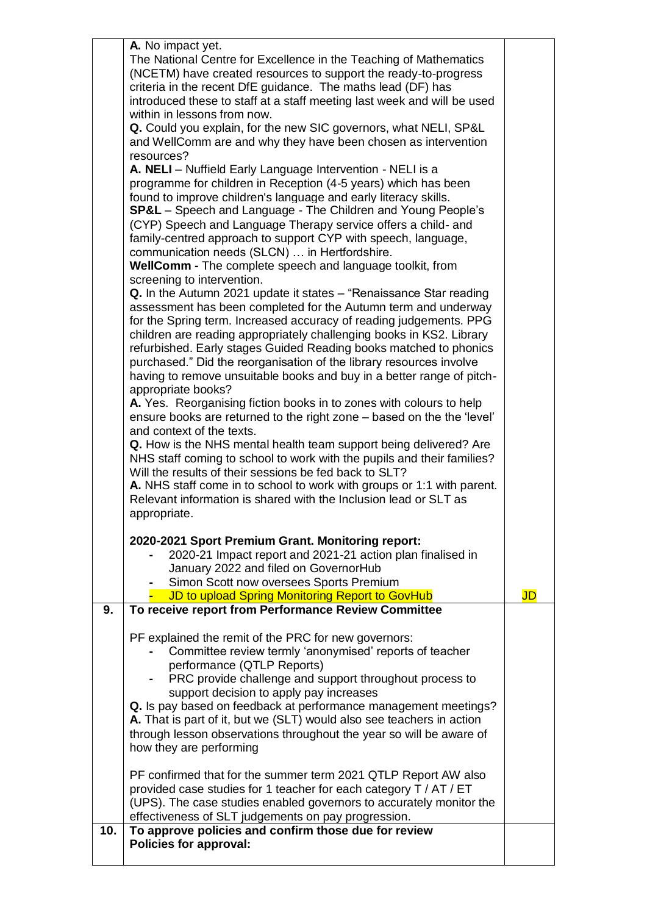|                                                                        | A. No impact yet.                                                                          |           |
|------------------------------------------------------------------------|--------------------------------------------------------------------------------------------|-----------|
|                                                                        | The National Centre for Excellence in the Teaching of Mathematics                          |           |
|                                                                        | (NCETM) have created resources to support the ready-to-progress                            |           |
|                                                                        | criteria in the recent DfE guidance. The maths lead (DF) has                               |           |
|                                                                        | introduced these to staff at a staff meeting last week and will be used                    |           |
|                                                                        | within in lessons from now.                                                                |           |
|                                                                        | Q. Could you explain, for the new SIC governors, what NELI, SP&L                           |           |
|                                                                        | and WellComm are and why they have been chosen as intervention                             |           |
|                                                                        | resources?                                                                                 |           |
|                                                                        | A. NELI - Nuffield Early Language Intervention - NELI is a                                 |           |
|                                                                        | programme for children in Reception (4-5 years) which has been                             |           |
|                                                                        | found to improve children's language and early literacy skills.                            |           |
|                                                                        | <b>SP&amp;L</b> – Speech and Language - The Children and Young People's                    |           |
|                                                                        | (CYP) Speech and Language Therapy service offers a child- and                              |           |
|                                                                        | family-centred approach to support CYP with speech, language,                              |           |
|                                                                        | communication needs (SLCN)  in Hertfordshire.                                              |           |
|                                                                        | WellComm - The complete speech and language toolkit, from                                  |           |
|                                                                        | screening to intervention.                                                                 |           |
|                                                                        | Q. In the Autumn 2021 update it states - "Renaissance Star reading                         |           |
|                                                                        | assessment has been completed for the Autumn term and underway                             |           |
|                                                                        | for the Spring term. Increased accuracy of reading judgements. PPG                         |           |
|                                                                        | children are reading appropriately challenging books in KS2. Library                       |           |
|                                                                        | refurbished. Early stages Guided Reading books matched to phonics                          |           |
|                                                                        |                                                                                            |           |
| purchased." Did the reorganisation of the library resources involve    |                                                                                            |           |
| having to remove unsuitable books and buy in a better range of pitch-  |                                                                                            |           |
|                                                                        | appropriate books?                                                                         |           |
|                                                                        | A. Yes. Reorganising fiction books in to zones with colours to help                        |           |
|                                                                        | ensure books are returned to the right zone - based on the the 'level'                     |           |
|                                                                        | and context of the texts.                                                                  |           |
|                                                                        | Q. How is the NHS mental health team support being delivered? Are                          |           |
|                                                                        | NHS staff coming to school to work with the pupils and their families?                     |           |
|                                                                        | Will the results of their sessions be fed back to SLT?                                     |           |
| A. NHS staff come in to school to work with groups or 1:1 with parent. |                                                                                            |           |
| Relevant information is shared with the Inclusion lead or SLT as       |                                                                                            |           |
|                                                                        | appropriate.                                                                               |           |
|                                                                        | 2020-2021 Sport Premium Grant. Monitoring report:                                          |           |
|                                                                        |                                                                                            |           |
|                                                                        | 2020-21 Impact report and 2021-21 action plan finalised in                                 |           |
|                                                                        | January 2022 and filed on GovernorHub                                                      |           |
|                                                                        | Simon Scott now oversees Sports Premium<br>JD to upload Spring Monitoring Report to GovHub | <b>JD</b> |
| 9.                                                                     | To receive report from Performance Review Committee                                        |           |
|                                                                        |                                                                                            |           |
|                                                                        | PF explained the remit of the PRC for new governors:                                       |           |
|                                                                        | Committee review termly 'anonymised' reports of teacher                                    |           |
|                                                                        | performance (QTLP Reports)                                                                 |           |
|                                                                        | PRC provide challenge and support throughout process to                                    |           |
|                                                                        | support decision to apply pay increases                                                    |           |
|                                                                        | Q. Is pay based on feedback at performance management meetings?                            |           |
|                                                                        | A. That is part of it, but we (SLT) would also see teachers in action                      |           |
|                                                                        | through lesson observations throughout the year so will be aware of                        |           |
|                                                                        | how they are performing                                                                    |           |
|                                                                        |                                                                                            |           |
| PF confirmed that for the summer term 2021 QTLP Report AW also         |                                                                                            |           |
|                                                                        | provided case studies for 1 teacher for each category T / AT / ET                          |           |
|                                                                        | (UPS). The case studies enabled governors to accurately monitor the                        |           |
|                                                                        | effectiveness of SLT judgements on pay progression.                                        |           |
|                                                                        |                                                                                            |           |
| 10.                                                                    |                                                                                            |           |
|                                                                        | To approve policies and confirm those due for review<br><b>Policies for approval:</b>      |           |